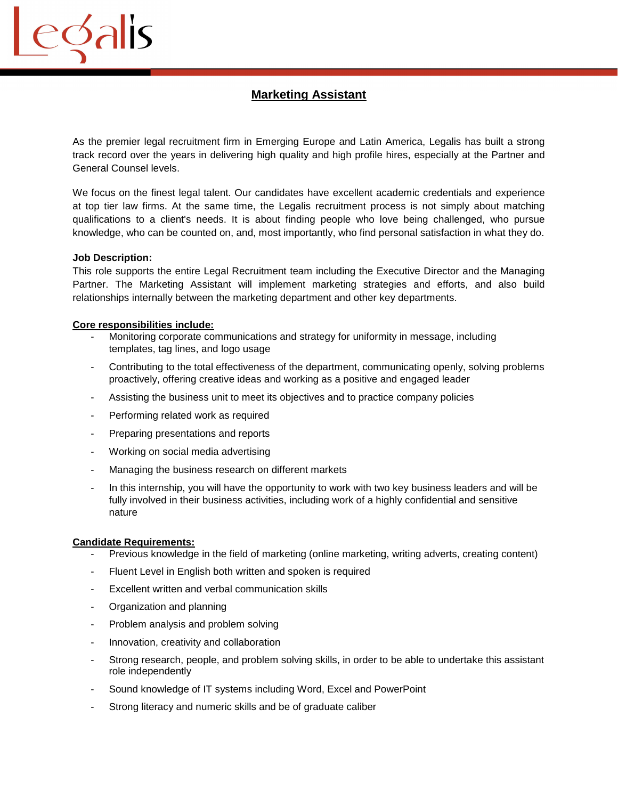## **Marketing Assistant**

As the premier legal recruitment firm in Emerging Europe and Latin America, Legalis has built a strong track record over the years in delivering high quality and high profile hires, especially at the Partner and General Counsel levels.

We focus on the finest legal talent. Our candidates have excellent academic credentials and experience at top tier law firms. At the same time, the Legalis recruitment process is not simply about matching qualifications to a client's needs. It is about finding people who love being challenged, who pursue knowledge, who can be counted on, and, most importantly, who find personal satisfaction in what they do.

## **Job Description:**

edalis

This role supports the entire Legal Recruitment team including the Executive Director and the Managing Partner. The Marketing Assistant will implement marketing strategies and efforts, and also build relationships internally between the marketing department and other key departments.

## **Core responsibilities include:**

- Monitoring corporate communications and strategy for uniformity in message, including templates, tag lines, and logo usage
- Contributing to the total effectiveness of the department, communicating openly, solving problems proactively, offering creative ideas and working as a positive and engaged leader
- Assisting the business unit to meet its objectives and to practice company policies
- Performing related work as required
- Preparing presentations and reports
- Working on social media advertising
- Managing the business research on different markets
- In this internship, you will have the opportunity to work with two key business leaders and will be fully involved in their business activities, including work of a highly confidential and sensitive nature

## **Candidate Requirements:**

- Previous knowledge in the field of marketing (online marketing, writing adverts, creating content)
- Fluent Level in English both written and spoken is required
- Excellent written and verbal communication skills
- Organization and planning
- Problem analysis and problem solving
- Innovation, creativity and collaboration
- Strong research, people, and problem solving skills, in order to be able to undertake this assistant role independently
- Sound knowledge of IT systems including Word, Excel and PowerPoint
- Strong literacy and numeric skills and be of graduate caliber